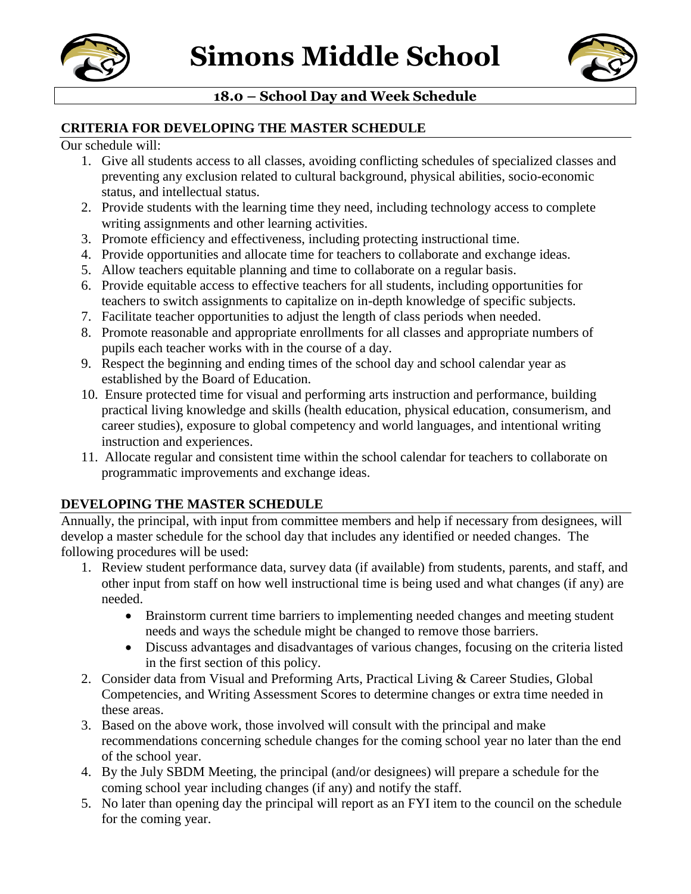



# **18.0 – School Day and Week Schedule**

### **CRITERIA FOR DEVELOPING THE MASTER SCHEDULE**

Our schedule will:

- 1. Give all students access to all classes, avoiding conflicting schedules of specialized classes and preventing any exclusion related to cultural background, physical abilities, socio-economic status, and intellectual status.
- 2. Provide students with the learning time they need, including technology access to complete writing assignments and other learning activities.
- 3. Promote efficiency and effectiveness, including protecting instructional time.
- 4. Provide opportunities and allocate time for teachers to collaborate and exchange ideas.
- 5. Allow teachers equitable planning and time to collaborate on a regular basis.
- 6. Provide equitable access to effective teachers for all students, including opportunities for teachers to switch assignments to capitalize on in-depth knowledge of specific subjects.
- 7. Facilitate teacher opportunities to adjust the length of class periods when needed.
- 8. Promote reasonable and appropriate enrollments for all classes and appropriate numbers of pupils each teacher works with in the course of a day.
- 9. Respect the beginning and ending times of the school day and school calendar year as established by the Board of Education.
- 10. Ensure protected time for visual and performing arts instruction and performance, building practical living knowledge and skills (health education, physical education, consumerism, and career studies), exposure to global competency and world languages, and intentional writing instruction and experiences.
- 11. Allocate regular and consistent time within the school calendar for teachers to collaborate on programmatic improvements and exchange ideas.

## **DEVELOPING THE MASTER SCHEDULE**

Annually, the principal, with input from committee members and help if necessary from designees, will develop a master schedule for the school day that includes any identified or needed changes. The following procedures will be used:

- 1. Review student performance data, survey data (if available) from students, parents, and staff, and other input from staff on how well instructional time is being used and what changes (if any) are needed.
	- Brainstorm current time barriers to implementing needed changes and meeting student needs and ways the schedule might be changed to remove those barriers.
	- Discuss advantages and disadvantages of various changes, focusing on the criteria listed in the first section of this policy.
- 2. Consider data from Visual and Preforming Arts, Practical Living & Career Studies, Global Competencies, and Writing Assessment Scores to determine changes or extra time needed in these areas.
- 3. Based on the above work, those involved will consult with the principal and make recommendations concerning schedule changes for the coming school year no later than the end of the school year.
- 4. By the July SBDM Meeting, the principal (and/or designees) will prepare a schedule for the coming school year including changes (if any) and notify the staff.
- 5. No later than opening day the principal will report as an FYI item to the council on the schedule for the coming year.